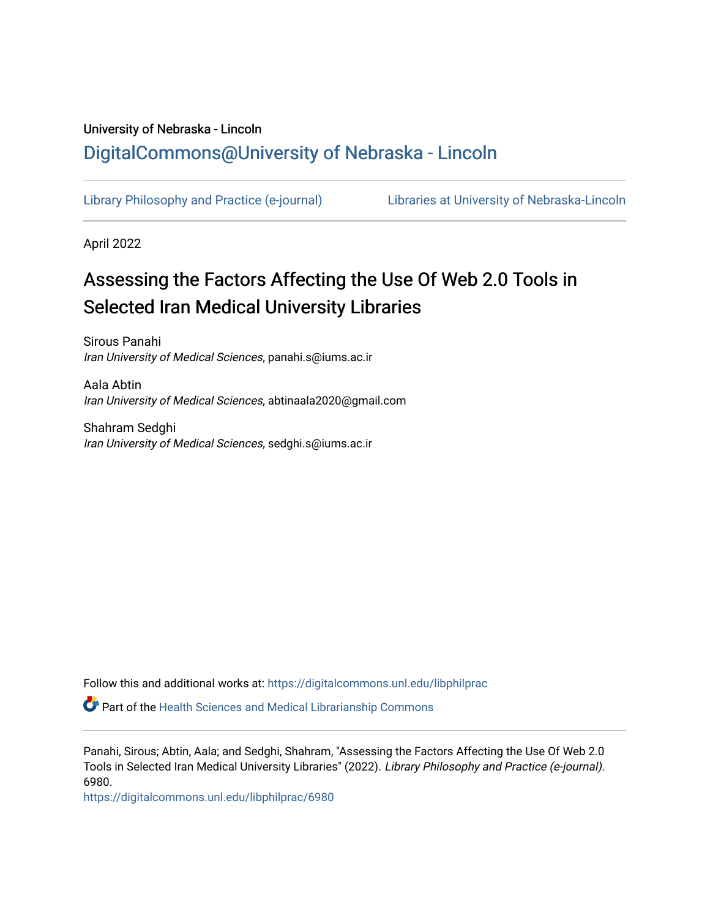# University of Nebraska - Lincoln [DigitalCommons@University of Nebraska - Lincoln](https://digitalcommons.unl.edu/)

[Library Philosophy and Practice \(e-journal\)](https://digitalcommons.unl.edu/libphilprac) [Libraries at University of Nebraska-Lincoln](https://digitalcommons.unl.edu/libraries) 

April 2022

# Assessing the Factors Affecting the Use Of Web 2.0 Tools in Selected Iran Medical University Libraries

Sirous Panahi Iran University of Medical Sciences, panahi.s@iums.ac.ir

Aala Abtin Iran University of Medical Sciences, abtinaala2020@gmail.com

Shahram Sedghi Iran University of Medical Sciences, sedghi.s@iums.ac.ir

Follow this and additional works at: [https://digitalcommons.unl.edu/libphilprac](https://digitalcommons.unl.edu/libphilprac?utm_source=digitalcommons.unl.edu%2Flibphilprac%2F6980&utm_medium=PDF&utm_campaign=PDFCoverPages) 

Part of the [Health Sciences and Medical Librarianship Commons](http://network.bepress.com/hgg/discipline/1419?utm_source=digitalcommons.unl.edu%2Flibphilprac%2F6980&utm_medium=PDF&utm_campaign=PDFCoverPages)

Panahi, Sirous; Abtin, Aala; and Sedghi, Shahram, "Assessing the Factors Affecting the Use Of Web 2.0 Tools in Selected Iran Medical University Libraries" (2022). Library Philosophy and Practice (e-journal). 6980.

[https://digitalcommons.unl.edu/libphilprac/6980](https://digitalcommons.unl.edu/libphilprac/6980?utm_source=digitalcommons.unl.edu%2Flibphilprac%2F6980&utm_medium=PDF&utm_campaign=PDFCoverPages)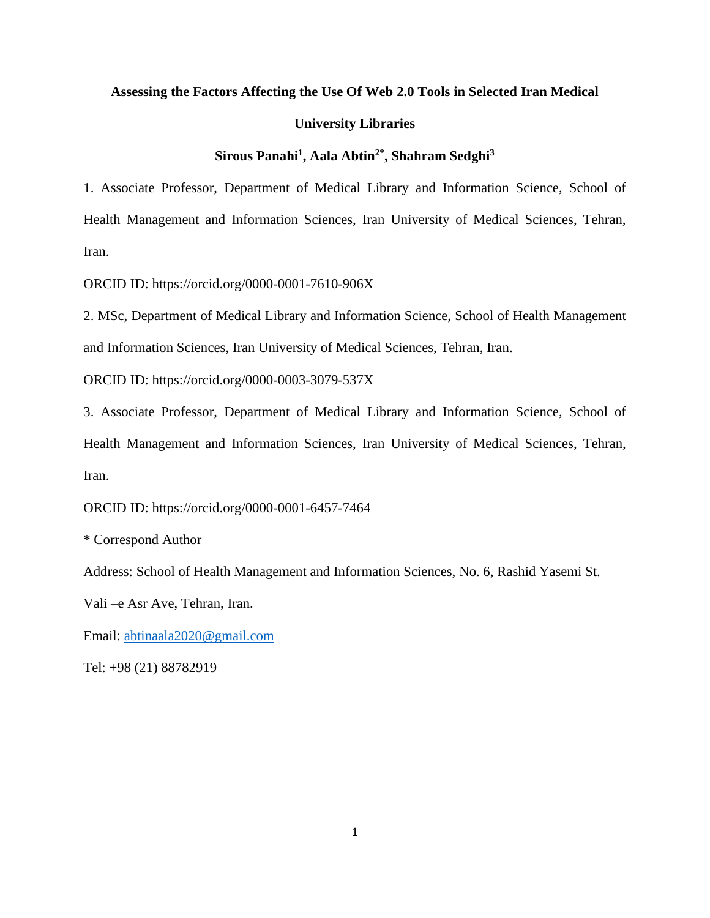#### **Assessing the Factors Affecting the Use Of Web 2.0 Tools in Selected Iran Medical**

#### **University Libraries**

# **Sirous Panahi<sup>1</sup> , Aala Abtin2\* , Shahram Sedghi<sup>3</sup>**

1. Associate Professor, Department of Medical Library and Information Science, School of Health Management and Information Sciences, Iran University of Medical Sciences, Tehran, Iran.

ORCID ID: https://orcid.org/0000-0001-7610-906X

2. MSc, Department of Medical Library and Information Science, School of Health Management and Information Sciences, Iran University of Medical Sciences, Tehran, Iran.

ORCID ID: https://orcid.org/0000-0003-3079-537X

3. Associate Professor, Department of Medical Library and Information Science, School of Health Management and Information Sciences, Iran University of Medical Sciences, Tehran, Iran.

ORCID ID: https://orcid.org/0000-0001-6457-7464

\* Correspond Author

Address: School of Health Management and Information Sciences, No. 6, Rashid Yasemi St.

Vali –e Asr Ave, Tehran, Iran.

Email: [abtinaala2020@gmail.com](mailto:abtinaala2020@gmail.com)

Tel: +98 (21) 88782919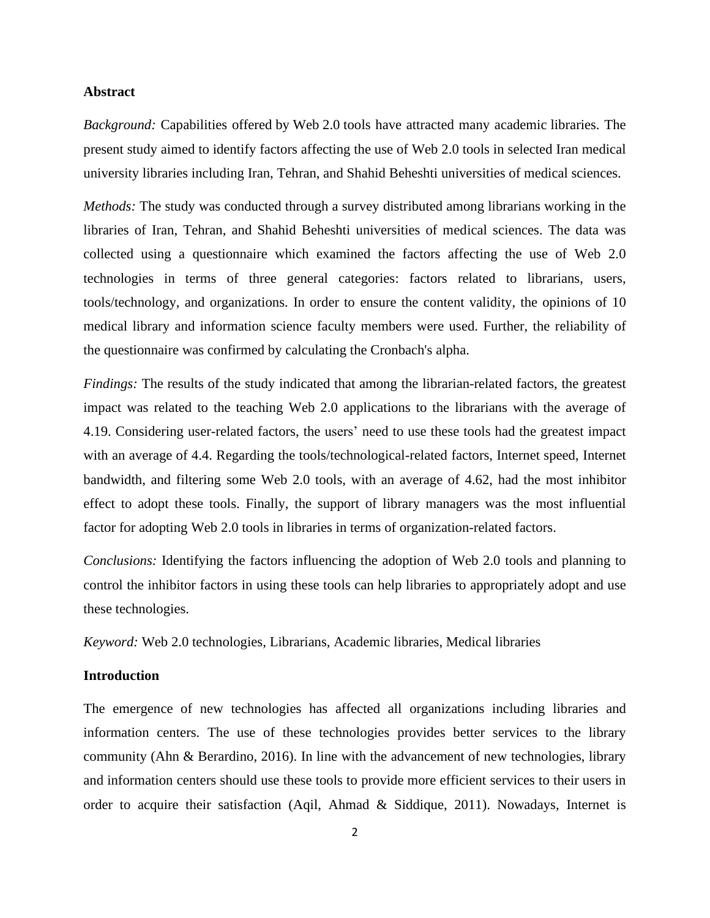#### **Abstract**

*Background:* Capabilities offered by Web 2.0 tools have attracted many academic libraries. The present study aimed to identify factors affecting the use of Web 2.0 tools in selected Iran medical university libraries including Iran, Tehran, and Shahid Beheshti universities of medical sciences.

*Methods:* The study was conducted through a survey distributed among librarians working in the libraries of Iran, Tehran, and Shahid Beheshti universities of medical sciences. The data was collected using a questionnaire which examined the factors affecting the use of Web 2.0 technologies in terms of three general categories: factors related to librarians, users, tools/technology, and organizations. In order to ensure the content validity, the opinions of 10 medical library and information science faculty members were used. Further, the reliability of the questionnaire was confirmed by calculating the Cronbach's alpha.

*Findings:* The results of the study indicated that among the librarian-related factors, the greatest impact was related to the teaching Web 2.0 applications to the librarians with the average of 4.19. Considering user-related factors, the users' need to use these tools had the greatest impact with an average of 4.4. Regarding the tools/technological-related factors, Internet speed, Internet bandwidth, and filtering some Web 2.0 tools, with an average of 4.62, had the most inhibitor effect to adopt these tools. Finally, the support of library managers was the most influential factor for adopting Web 2.0 tools in libraries in terms of organization-related factors.

*Conclusions:* Identifying the factors influencing the adoption of Web 2.0 tools and planning to control the inhibitor factors in using these tools can help libraries to appropriately adopt and use these technologies.

*Keyword:* Web 2.0 technologies, Librarians, Academic libraries, Medical libraries

# **Introduction**

The emergence of new technologies has affected all organizations including libraries and information centers. The use of these technologies provides better services to the library community (Ahn & Berardino, 2016). In line with the advancement of new technologies, library and information centers should use these tools to provide more efficient services to their users in order to acquire their satisfaction (Aqil, Ahmad & Siddique, 2011). Nowadays, Internet is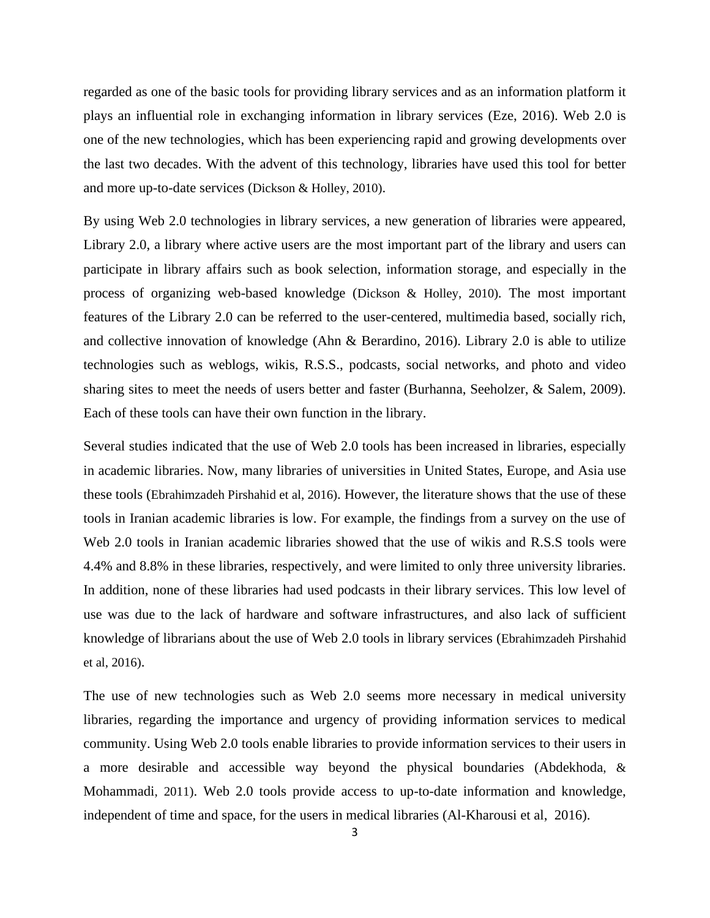regarded as one of the basic tools for providing library services and as an information platform it plays an influential role in exchanging information in library services (Eze, 2016). Web 2.0 is one of the new technologies, which has been experiencing rapid and growing developments over the last two decades. With the advent of this technology, libraries have used this tool for better and more up-to-date services (Dickson & Holley, 2010).

By using Web 2.0 technologies in library services, a new generation of libraries were appeared, Library 2.0, a library where active users are the most important part of the library and users can participate in library affairs such as book selection, information storage, and especially in the process of organizing web-based knowledge (Dickson & Holley, 2010). The most important features of the Library 2.0 can be referred to the user-centered, multimedia based, socially rich, and collective innovation of knowledge (Ahn & Berardino, 2016). Library 2.0 is able to utilize technologies such as weblogs, wikis, R.S.S., podcasts, social networks, and photo and video sharing sites to meet the needs of users better and faster (Burhanna, Seeholzer, & Salem, 2009). Each of these tools can have their own function in the library.

Several studies indicated that the use of Web 2.0 tools has been increased in libraries, especially in academic libraries. Now, many libraries of universities in United States, Europe, and Asia use these tools (Ebrahimzadeh Pirshahid et al, 2016). However, the literature shows that the use of these tools in Iranian academic libraries is low. For example, the findings from a survey on the use of Web 2.0 tools in Iranian academic libraries showed that the use of wikis and R.S.S tools were 4.4% and 8.8% in these libraries, respectively, and were limited to only three university libraries. In addition, none of these libraries had used podcasts in their library services. This low level of use was due to the lack of hardware and software infrastructures, and also lack of sufficient knowledge of librarians about the use of Web 2.0 tools in library services (Ebrahimzadeh Pirshahid et al, 2016).

The use of new technologies such as Web 2.0 seems more necessary in medical university libraries, regarding the importance and urgency of providing information services to medical community. Using Web 2.0 tools enable libraries to provide information services to their users in a more desirable and accessible way beyond the physical boundaries (Abdekhoda, & Mohammadi, 2011). Web 2.0 tools provide access to up-to-date information and knowledge, independent of time and space, for the users in medical libraries (Al-Kharousi et al, 2016).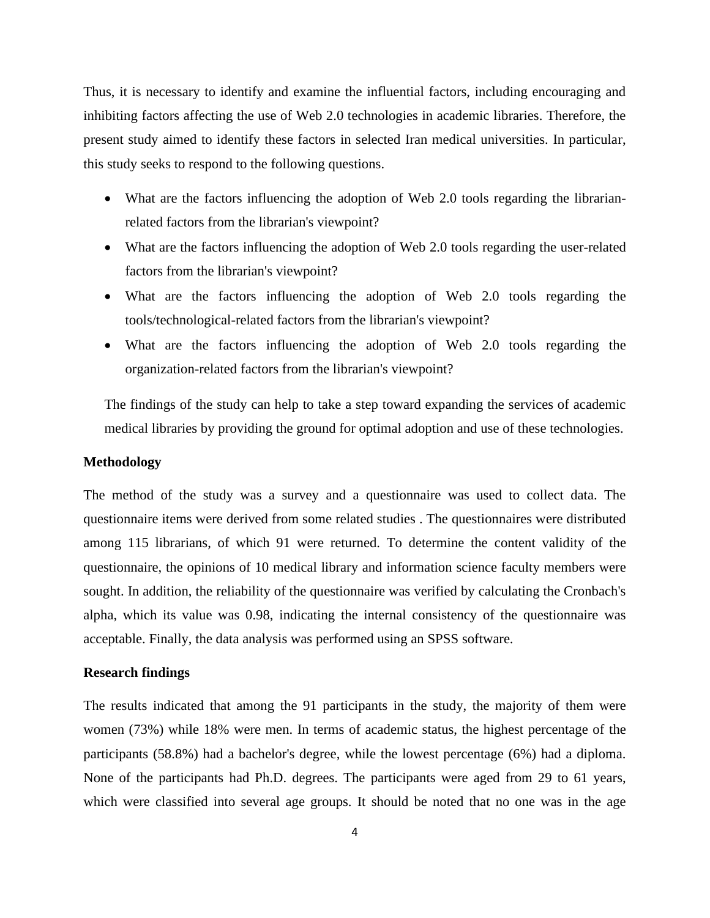Thus, it is necessary to identify and examine the influential factors, including encouraging and inhibiting factors affecting the use of Web 2.0 technologies in academic libraries. Therefore, the present study aimed to identify these factors in selected Iran medical universities. In particular, this study seeks to respond to the following questions.

- What are the factors influencing the adoption of Web 2.0 tools regarding the librarianrelated factors from the librarian's viewpoint?
- What are the factors influencing the adoption of Web 2.0 tools regarding the user-related factors from the librarian's viewpoint?
- What are the factors influencing the adoption of Web 2.0 tools regarding the tools/technological-related factors from the librarian's viewpoint?
- What are the factors influencing the adoption of Web 2.0 tools regarding the organization-related factors from the librarian's viewpoint?

The findings of the study can help to take a step toward expanding the services of academic medical libraries by providing the ground for optimal adoption and use of these technologies.

#### **Methodology**

The method of the study was a survey and a questionnaire was used to collect data. The questionnaire items were derived from some related studies . The questionnaires were distributed among 115 librarians, of which 91 were returned. To determine the content validity of the questionnaire, the opinions of 10 medical library and information science faculty members were sought. In addition, the reliability of the questionnaire was verified by calculating the Cronbach's alpha, which its value was 0.98, indicating the internal consistency of the questionnaire was acceptable. Finally, the data analysis was performed using an SPSS software.

# **Research findings**

The results indicated that among the 91 participants in the study, the majority of them were women (73%) while 18% were men. In terms of academic status, the highest percentage of the participants (58.8%) had a bachelor's degree, while the lowest percentage (6%) had a diploma. None of the participants had Ph.D. degrees. The participants were aged from 29 to 61 years, which were classified into several age groups. It should be noted that no one was in the age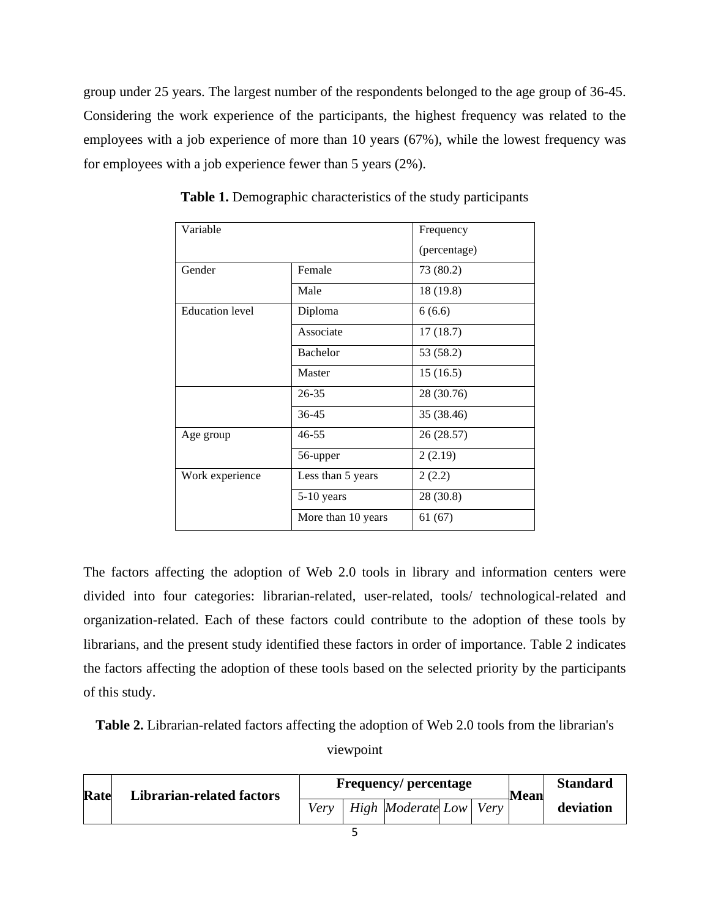group under 25 years. The largest number of the respondents belonged to the age group of 36-45. Considering the work experience of the participants, the highest frequency was related to the employees with a job experience of more than 10 years (67%), while the lowest frequency was for employees with a job experience fewer than 5 years (2%).

| Variable               |                    | Frequency    |
|------------------------|--------------------|--------------|
|                        |                    | (percentage) |
| Gender                 | Female             | 73 (80.2)    |
|                        | Male               | 18 (19.8)    |
| <b>Education</b> level | Diploma            | 6(6.6)       |
|                        | Associate          | 17(18.7)     |
|                        | <b>Bachelor</b>    | 53 (58.2)    |
|                        | Master             | 15(16.5)     |
|                        | 26-35              | 28 (30.76)   |
|                        | 36-45              | 35 (38.46)   |
| Age group              | $46 - 55$          | 26 (28.57)   |
|                        | 56-upper           | 2(2.19)      |
| Work experience        | Less than 5 years  | 2(2.2)       |
|                        | 5-10 years         | 28 (30.8)    |
|                        | More than 10 years | 61(67)       |

**Table 1.** Demographic characteristics of the study participants

The factors affecting the adoption of Web 2.0 tools in library and information centers were divided into four categories: librarian-related, user-related, tools/ technological-related and organization-related. Each of these factors could contribute to the adoption of these tools by librarians, and the present study identified these factors in order of importance. Table 2 indicates the factors affecting the adoption of these tools based on the selected priority by the participants of this study.

**Table 2.** Librarian-related factors affecting the adoption of Web 2.0 tools from the librarian's viewpoint

|  | Rate<br><b>Librarian-related factors</b> | <b>Frequency/percentage</b> |  |                          |  |      | <b>Mean</b> | <b>Standard</b> |
|--|------------------------------------------|-----------------------------|--|--------------------------|--|------|-------------|-----------------|
|  |                                          | Very                        |  | <i>High Moderate Low</i> |  | Very |             | deviation       |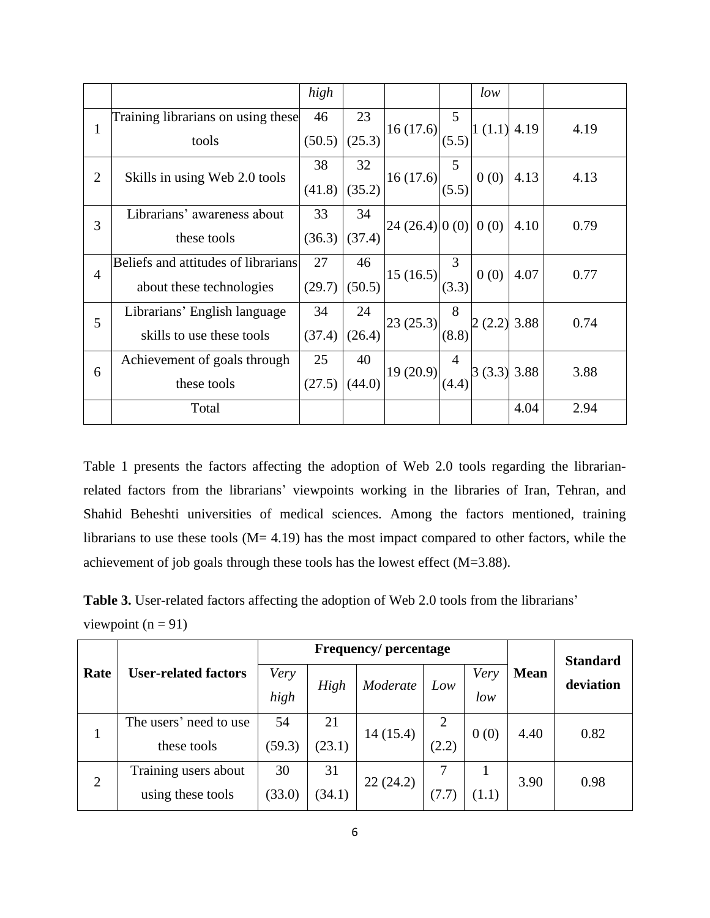|                |                                     | high   |        |               |                | low           |      |      |
|----------------|-------------------------------------|--------|--------|---------------|----------------|---------------|------|------|
| $\mathbf{1}$   | Training librarians on using these  | 46     | 23     | 16(17.6)      | 5              | $1(1.1)$ 4.19 |      | 4.19 |
|                | tools                               | (50.5) | (25.3) |               | (5.5)          |               |      |      |
| $\overline{2}$ | Skills in using Web 2.0 tools       | 38     | 32     | 16(17.6)      | 5              | 0(0)          | 4.13 | 4.13 |
|                |                                     | (41.8) | (35.2) |               | (5.5)          |               |      |      |
| 3              | Librarians' awareness about         | 33     | 34     | 24(26.4) 0(0) |                | 0(0)          | 4.10 | 0.79 |
|                | these tools                         | (36.3) | (37.4) |               |                |               |      |      |
| $\overline{4}$ | Beliefs and attitudes of librarians | 27     | 46     | 15(16.5)      | 3              | 0(0)          |      | 0.77 |
|                | about these technologies            | (29.7) | (50.5) |               | (3.3)          |               | 4.07 |      |
| 5              | Librarians' English language        | 34     | 24     | 23(25.3)      | 8              | 2(2.2)        | 3.88 | 0.74 |
|                | skills to use these tools           | (37.4) | (26.4) |               | (8.8)          |               |      |      |
| 6              | Achievement of goals through        | 25     | 40     | 19(20.9)      | $\overline{4}$ | 3(3.3)3.88    |      | 3.88 |
|                | these tools                         | (27.5) | (44.0) |               |                |               |      |      |
|                | Total                               |        |        |               |                |               | 4.04 | 2.94 |

Table 1 presents the factors affecting the adoption of Web 2.0 tools regarding the librarianrelated factors from the librarians' viewpoints working in the libraries of Iran, Tehran, and Shahid Beheshti universities of medical sciences. Among the factors mentioned, training librarians to use these tools  $(M= 4.19)$  has the most impact compared to other factors, while the achievement of job goals through these tools has the lowest effect (M=3.88).

**Table 3.** User-related factors affecting the adoption of Web 2.0 tools from the librarians' viewpoint  $(n = 91)$ 

|                |                             |        | <b>Frequency/percentage</b> |          | <b>Standard</b> |       |             |           |
|----------------|-----------------------------|--------|-----------------------------|----------|-----------------|-------|-------------|-----------|
| Rate           | <b>User-related factors</b> | Very   |                             | Moderate |                 | Very  | <b>Mean</b> | deviation |
|                |                             | high   | High                        |          | Low             | low   |             |           |
|                | The users' need to use      | 54     | 21                          | 14(15.4) | 2               | 0(0)  | 4.40        | 0.82      |
| $\mathbf{1}$   | these tools                 | (59.3) | (23.1)                      |          | (2.2)           |       |             |           |
| $\overline{2}$ | Training users about        | 30     | 31                          | 22(24.2) |                 |       | 3.90        | 0.98      |
|                | using these tools           | (33.0) | (34.1)                      |          | (7.7)           | (1.1) |             |           |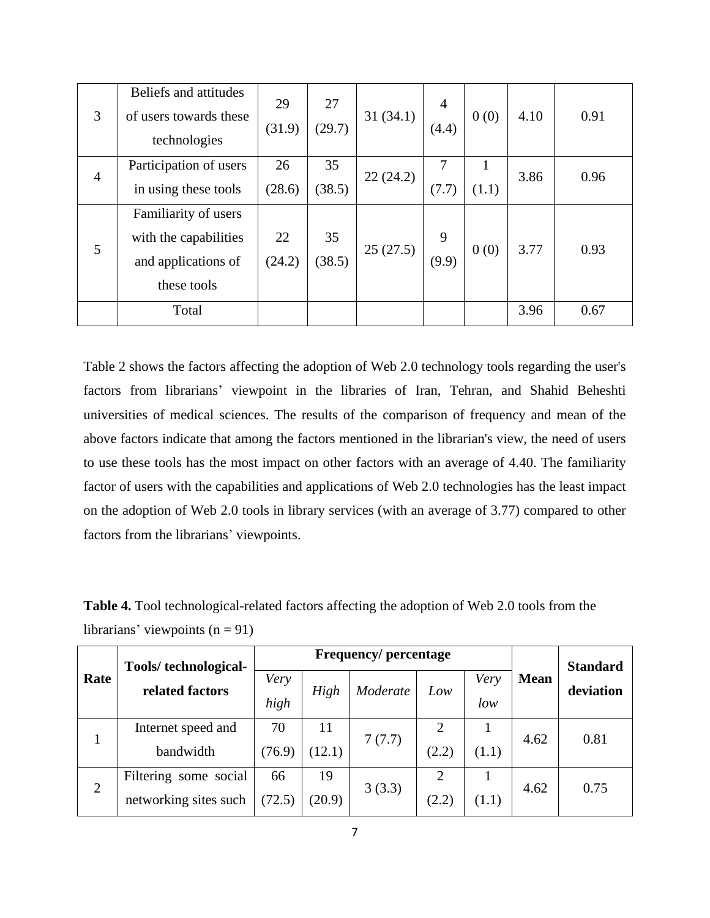| 3              | Beliefs and attitudes<br>of users towards these<br>technologies | 29<br>(31.9) | 27<br>(29.7) | 31(34.1) | $\overline{4}$<br>(4.4) | 0(0)  | 4.10 | 0.91 |
|----------------|-----------------------------------------------------------------|--------------|--------------|----------|-------------------------|-------|------|------|
| $\overline{4}$ | Participation of users                                          | 26           | 35           | 22(24.2) |                         |       | 3.86 | 0.96 |
|                | in using these tools                                            | (28.6)       | (38.5)       |          | (7.7)                   | (1.1) |      |      |
|                | Familiarity of users                                            |              |              |          |                         |       |      |      |
| 5              | with the capabilities                                           | 22           | 35           | 25(27.5) | 9                       | 0(0)  | 3.77 | 0.93 |
|                | and applications of                                             | (24.2)       | (38.5)       |          | (9.9)                   |       |      |      |
|                | these tools                                                     |              |              |          |                         |       |      |      |
|                | Total                                                           |              |              |          |                         |       | 3.96 | 0.67 |

Table 2 shows the factors affecting the adoption of Web 2.0 technology tools regarding the user's factors from librarians' viewpoint in the libraries of Iran, Tehran, and Shahid Beheshti universities of medical sciences. The results of the comparison of frequency and mean of the above factors indicate that among the factors mentioned in the librarian's view, the need of users to use these tools has the most impact on other factors with an average of 4.40. The familiarity factor of users with the capabilities and applications of Web 2.0 technologies has the least impact on the adoption of Web 2.0 tools in library services (with an average of 3.77) compared to other factors from the librarians' viewpoints.

**Table 4.** Tool technological-related factors affecting the adoption of Web 2.0 tools from the librarians' viewpoints  $(n = 91)$ 

| Rate | Tools/technological-  |        | <b>Frequency/percentage</b> |          | <b>Standard</b> |       |             |           |
|------|-----------------------|--------|-----------------------------|----------|-----------------|-------|-------------|-----------|
|      | related factors       | Very   | High                        | Moderate | Low             | Very  | <b>Mean</b> | deviation |
|      |                       | high   |                             |          |                 | low   |             |           |
|      | Internet speed and    | 70     | 11                          |          |                 |       | 4.62        | 0.81      |
|      | bandwidth             | (76.9) | (12.1)                      | 7(7.7)   | (2.2)           | (1.1) |             |           |
| 2    | Filtering some social | 66     | 19                          | 3(3.3)   | 2               |       | 4.62        | 0.75      |
|      | networking sites such | (72.5) | (20.9)                      |          | (2.2)           | (1.1) |             |           |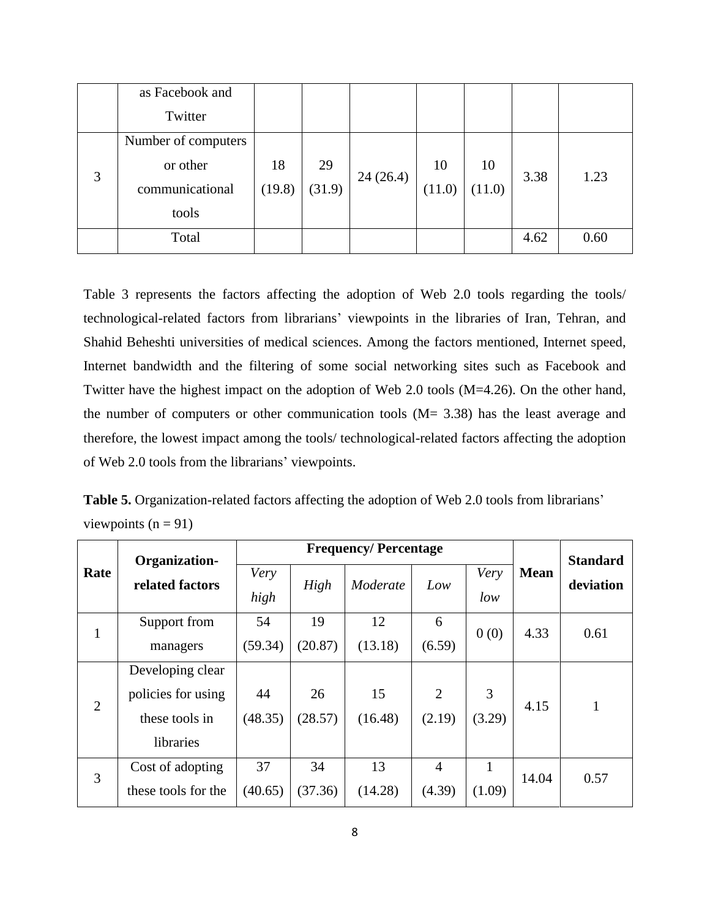|   | as Facebook and     |        |        |          |        |        |      |      |
|---|---------------------|--------|--------|----------|--------|--------|------|------|
|   | Twitter             |        |        |          |        |        |      |      |
|   | Number of computers |        |        |          |        |        |      |      |
| 3 | or other            | 18     | 29     |          | 10     | 10     | 3.38 | 1.23 |
|   | communicational     | (19.8) | (31.9) | 24(26.4) | (11.0) | (11.0) |      |      |
|   | tools               |        |        |          |        |        |      |      |
|   | Total               |        |        |          |        |        | 4.62 | 0.60 |

Table 3 represents the factors affecting the adoption of Web 2.0 tools regarding the tools/ technological-related factors from librarians' viewpoints in the libraries of Iran, Tehran, and Shahid Beheshti universities of medical sciences. Among the factors mentioned, Internet speed, Internet bandwidth and the filtering of some social networking sites such as Facebook and Twitter have the highest impact on the adoption of Web 2.0 tools (M=4.26). On the other hand, the number of computers or other communication tools (M= 3.38) has the least average and therefore, the lowest impact among the tools/ technological-related factors affecting the adoption of Web 2.0 tools from the librarians' viewpoints.

**Table 5.** Organization-related factors affecting the adoption of Web 2.0 tools from librarians' viewpoints  $(n = 91)$ 

|                | Organization-       |              |         | <b>Frequency/Percentage</b> |                |              |             | <b>Standard</b> |
|----------------|---------------------|--------------|---------|-----------------------------|----------------|--------------|-------------|-----------------|
| Rate           | related factors     | Very<br>high | High    | Moderate                    | Low            | Very<br>low  | <b>Mean</b> | deviation       |
| $\mathbf{1}$   | Support from        | 54           | 19      | 12                          | 6              | 0(0)         | 4.33        | 0.61            |
|                | managers            | (59.34)      | (20.87) | (13.18)                     | (6.59)         |              |             |                 |
|                | Developing clear    |              |         |                             |                |              |             |                 |
| $\overline{2}$ | policies for using  | 44           | 26      | 15                          | $\overline{2}$ | 3            | 4.15        |                 |
|                | these tools in      | (48.35)      | (28.57) | (16.48)                     | (2.19)         | (3.29)       |             |                 |
|                | libraries           |              |         |                             |                |              |             |                 |
| 3              | Cost of adopting    | 37           | 34      | 13                          | $\overline{4}$ | $\mathbf{1}$ | 14.04       | 0.57            |
|                | these tools for the | (40.65)      | (37.36) | (14.28)                     | (4.39)         | (1.09)       |             |                 |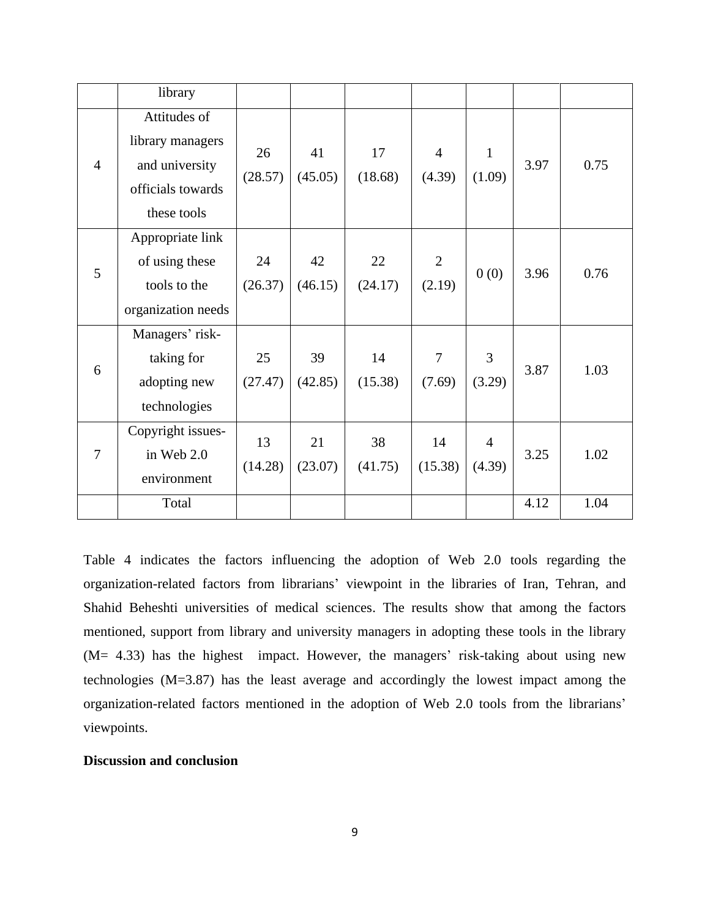|                | library                                                                                |               |               |               |                          |                          |      |      |
|----------------|----------------------------------------------------------------------------------------|---------------|---------------|---------------|--------------------------|--------------------------|------|------|
| $\overline{4}$ | Attitudes of<br>library managers<br>and university<br>officials towards<br>these tools | 26<br>(28.57) | 41<br>(45.05) | 17<br>(18.68) | $\overline{4}$<br>(4.39) | $\mathbf{1}$<br>(1.09)   | 3.97 | 0.75 |
| 5              | Appropriate link<br>of using these<br>tools to the<br>organization needs               | 24<br>(26.37) | 42<br>(46.15) | 22<br>(24.17) | $\overline{2}$<br>(2.19) | 0(0)                     | 3.96 | 0.76 |
| 6              | Managers' risk-<br>taking for<br>adopting new<br>technologies                          | 25<br>(27.47) | 39<br>(42.85) | 14<br>(15.38) | $\overline{7}$<br>(7.69) | 3<br>(3.29)              | 3.87 | 1.03 |
| $\overline{7}$ | Copyright issues-<br>in Web 2.0<br>environment                                         | 13<br>(14.28) | 21<br>(23.07) | 38<br>(41.75) | 14<br>(15.38)            | $\overline{4}$<br>(4.39) | 3.25 | 1.02 |
|                | Total                                                                                  |               |               |               |                          |                          | 4.12 | 1.04 |

Table 4 indicates the factors influencing the adoption of Web 2.0 tools regarding the organization-related factors from librarians' viewpoint in the libraries of Iran, Tehran, and Shahid Beheshti universities of medical sciences. The results show that among the factors mentioned, support from library and university managers in adopting these tools in the library (M= 4.33) has the highest impact. However, the managers' risk-taking about using new technologies (M=3.87) has the least average and accordingly the lowest impact among the organization-related factors mentioned in the adoption of Web 2.0 tools from the librarians' viewpoints.

# **Discussion and conclusion**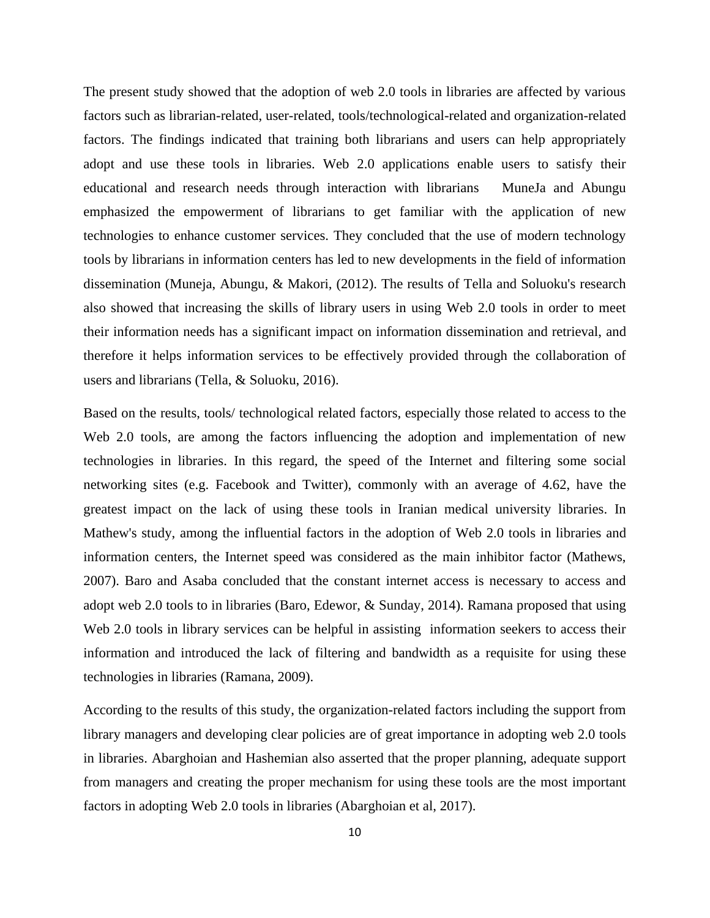The present study showed that the adoption of web 2.0 tools in libraries are affected by various factors such as librarian-related, user-related, tools/technological-related and organization-related factors. The findings indicated that training both librarians and users can help appropriately adopt and use these tools in libraries. Web 2.0 applications enable users to satisfy their educational and research needs through interaction with librarians MuneJa and Abungu emphasized the empowerment of librarians to get familiar with the application of new technologies to enhance customer services. They concluded that the use of modern technology tools by librarians in information centers has led to new developments in the field of information dissemination (Muneja, Abungu, & Makori, (2012). The results of Tella and Soluoku's research also showed that increasing the skills of library users in using Web 2.0 tools in order to meet their information needs has a significant impact on information dissemination and retrieval, and therefore it helps information services to be effectively provided through the collaboration of users and librarians (Tella, & Soluoku, 2016).

Based on the results, tools/ technological related factors, especially those related to access to the Web 2.0 tools, are among the factors influencing the adoption and implementation of new technologies in libraries. In this regard, the speed of the Internet and filtering some social networking sites (e.g. Facebook and Twitter), commonly with an average of 4.62, have the greatest impact on the lack of using these tools in Iranian medical university libraries. In Mathew's study, among the influential factors in the adoption of Web 2.0 tools in libraries and information centers, the Internet speed was considered as the main inhibitor factor (Mathews, 2007). Baro and Asaba concluded that the constant internet access is necessary to access and adopt web 2.0 tools to in libraries (Baro, Edewor, & Sunday, 2014). Ramana proposed that using Web 2.0 tools in library services can be helpful in assisting information seekers to access their information and introduced the lack of filtering and bandwidth as a requisite for using these technologies in libraries (Ramana, 2009).

According to the results of this study, the organization-related factors including the support from library managers and developing clear policies are of great importance in adopting web 2.0 tools in libraries. Abarghoian and Hashemian also asserted that the proper planning, adequate support from managers and creating the proper mechanism for using these tools are the most important factors in adopting Web 2.0 tools in libraries (Abarghoian et al, 2017).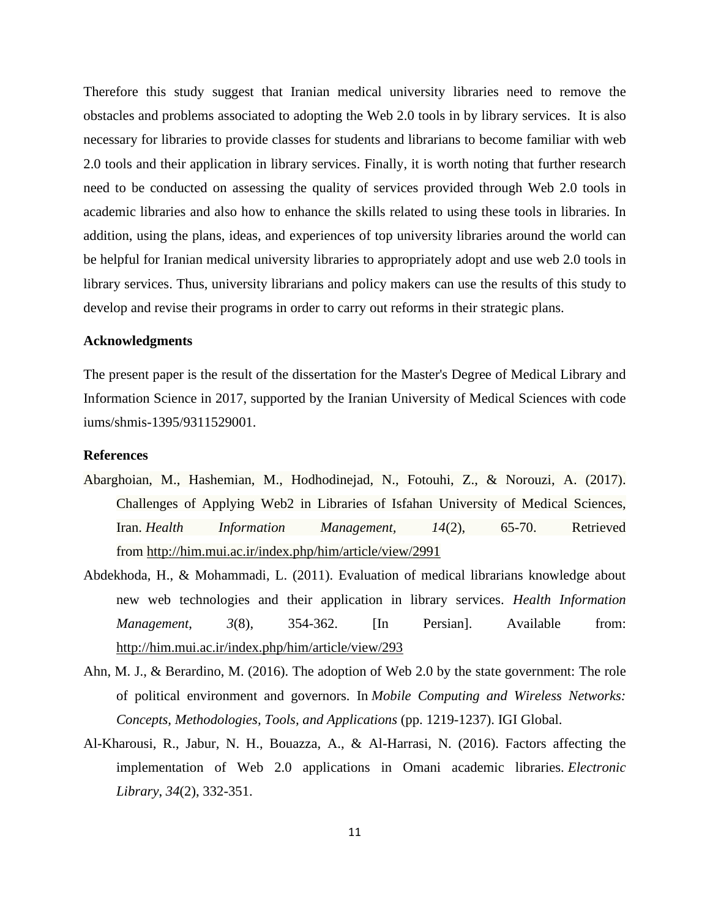Therefore this study suggest that Iranian medical university libraries need to remove the obstacles and problems associated to adopting the Web 2.0 tools in by library services. It is also necessary for libraries to provide classes for students and librarians to become familiar with web 2.0 tools and their application in library services. Finally, it is worth noting that further research need to be conducted on assessing the quality of services provided through Web 2.0 tools in academic libraries and also how to enhance the skills related to using these tools in libraries. In addition, using the plans, ideas, and experiences of top university libraries around the world can be helpful for Iranian medical university libraries to appropriately adopt and use web 2.0 tools in library services. Thus, university librarians and policy makers can use the results of this study to develop and revise their programs in order to carry out reforms in their strategic plans.

#### **Acknowledgments**

The present paper is the result of the dissertation for the Master's Degree of Medical Library and Information Science in 2017, supported by the Iranian University of Medical Sciences with code iums/shmis-1395/9311529001.

## **References**

- Abarghoian, M., Hashemian, M., Hodhodinejad, N., Fotouhi, Z., & Norouzi, A. (2017). Challenges of Applying Web2 in Libraries of Isfahan University of Medical Sciences, Iran. *Health Information Management, 14*(2), 65-70. Retrieved from <http://him.mui.ac.ir/index.php/him/article/view/2991>
- Abdekhoda, H., & Mohammadi, L. (2011). Evaluation of medical librarians knowledge about new web technologies and their application in library services. *Health Information Management*,  $3(8)$ ,  $354-362$ . [In Persian]. Available from: <http://him.mui.ac.ir/index.php/him/article/view/293>
- Ahn, M. J., & Berardino, M. (2016). The adoption of Web 2.0 by the state government: The role of political environment and governors. In *Mobile Computing and Wireless Networks: Concepts, Methodologies, Tools, and Applications* (pp. 1219-1237). IGI Global.
- Al-Kharousi, R., Jabur, N. H., Bouazza, A., & Al-Harrasi, N. (2016). Factors affecting the implementation of Web 2.0 applications in Omani academic libraries. *Electronic Library*, *34*(2), 332-351.